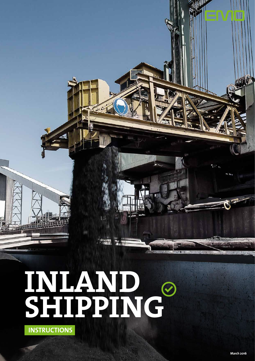**INLAND SHIPPING**



**MAY!**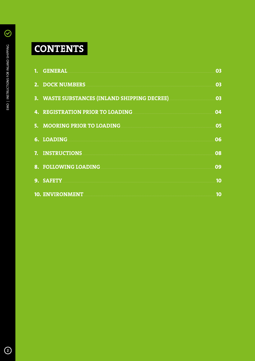# CONTENTS

| 1. GENERAL <b>EXECUTE A SERVICE A SERVICE A SERVICE A SERVICE A SERVICE A SERVICE A SERVICE A SERVICE A SERVICE A</b>                                                                                                                | 03 |
|--------------------------------------------------------------------------------------------------------------------------------------------------------------------------------------------------------------------------------------|----|
| 2. DOCK NUMBERS NAMES AND RESIDENCE ASSESSED.                                                                                                                                                                                        | 03 |
| 3. WASTE SUBSTANCES (INLAND SHIPPING DECREE) MARITED SUBSTANCES                                                                                                                                                                      | 03 |
| 4. REGISTRATION PRIOR TO LOADING <b>And All Annual Action Contract Contract Contract Contract Contract Contract Contract Contract Contract Contract Contract Contract Contract Contract Contract Contract Contract Contract Cont</b> | 04 |
| 5. MOORING PRIOR TO LOADING                                                                                                                                                                                                          | 05 |
| 6. LOADING                                                                                                                                                                                                                           | 06 |
| 7. INSTRUCTIONS                                                                                                                                                                                                                      | 08 |
| 8. FOLLOWING LOADING                                                                                                                                                                                                                 | 09 |
|                                                                                                                                                                                                                                      | 10 |
| 10. ENVIRONMENT                                                                                                                                                                                                                      | 10 |

 $\odot$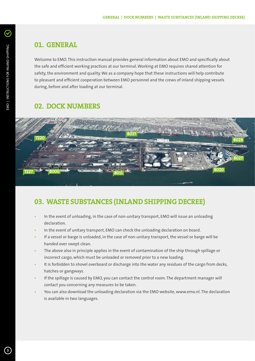#### **01. GENERAL**

Welcome to EMO. This instruction manual provides general information about EMO and specifically about the safe and efficient working practices at our terminal. Working at EMO requires shared attention for safety, the environment and quality. We as a company hope that these instructions will help contribute to pleasant and efficient cooperation between EMO personnel and the crews of inland shipping vessels during, before and after loading at our terminal.

#### **02. DOCK NUMBERS**



## **03. WASTE SUBSTANCES (INLAND SHIPPING DECREE)**

- In the event of unloading, in the case of non-unitary transport, EMO will issue an unloading declaration.
- In the event of unitary transport, EMO can check the unloading declaration on board.
- If a vessel or barge is unloaded, in the case of non-unitary transport, the vessel or barge will be handed over swept clean.
- The above also in principle applies in the event of contamination of the ship through spillage or incorrect cargo, which must be unloaded or removed prior to a new loading.
- It is forbidden to shovel overboard or discharge into the water any residues of the cargo from decks, hatches or gangways.
- If the spillage is caused by EMO, you can contact the control room. The department manager will contact you concerning any measures to be taken.
- You can also download the unloading declaration via the EMO website, www.emo.nl. The declaration is available in two languages.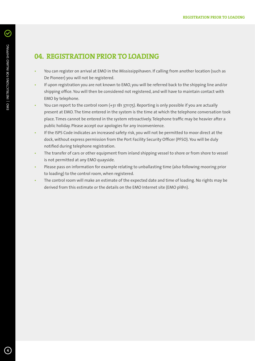#### **04. REGISTRATION PRIOR TO LOADING**

- You can register on arrival at EMO in the Mississippihaven. If calling from another location (such as De Pioneer) you will not be registered.
- If upon registration you are not known to EMO, you will be referred back to the shipping line and/or shipping office. You will then be considered not registered, and will have to maintain contact with EMO by telephone.
- You can report to the control room (+31 181 371175). Reporting is only possible if you are actually present at EMO. The time entered in the system is the time at which the telephone conversation took place. Times cannot be entered in the system retroactively. Telephone traffic may be heavier after a public holiday. Please accept our apologies for any inconvenience.
- If the ISPS Code indicates an increased safety risk, you will not be permitted to moor direct at the dock, without express permission from the Port Facility Security Officer (PFSO). You will be duly notified during telephone registration.
- The transfer of cars or other equipment from inland shipping vessel to shore or from shore to vessel is not permitted at any EMO quayside.
- Please pass on information for example relating to unballasting time (also following mooring prior to loading) to the control room, when registered.
- The control room will make an estimate of the expected date and time of loading. No rights may be derived from this estimate or the details on the EMO Internet site (EMO pl@n).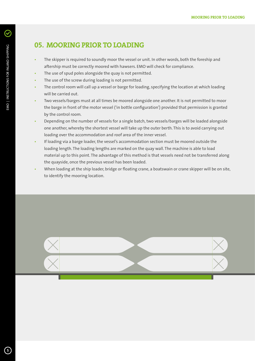### **05. MOORING PRIOR TO LOADING**

- The skipper is required to soundly moor the vessel or unit. In other words, both the foreship and aftership must be correctly moored with hawsers. EMO will check for compliance.
- The use of spud poles alongside the quay is not permitted.
- The use of the screw during loading is not permitted.
- The control room will call up a vessel or barge for loading, specifying the location at which loading will be carried out.
- Two vessels/barges must at all times be moored alongside one another. It is not permitted to moor the barge in front of the motor vessel ('in bottle configuration') provided that permission is granted by the control room.
- Depending on the number of vessels for a single batch, two vessels/barges will be loaded alongside one another, whereby the shortest vessel will take up the outer berth. This is to avoid carrying out loading over the accommodation and roof area of the inner vessel.
- If loading via a barge loader, the vessel's accommodation section must be moored outside the loading length. The loading lengths are marked on the quay wall. The machine is able to load material up to this point. The advantage of this method is that vessels need not be transferred along the quayside, once the previous vessel has been loaded.
- When loading at the ship loader, bridge or floating crane, a boatswain or crane skipper will be on site, to identify the mooring location.

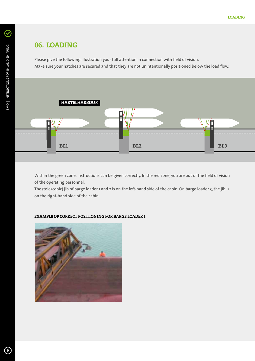#### **06. LOADING**

Please give the following illustration your full attention in connection with field of vision. Make sure your hatches are secured and that they are not unintentionally positioned below the load flow.



Within the green zone, instructions can be given correctly. In the red zone, you are out of the field of vision of the operating personnel.

The (telescopic) jib of barge loader 1 and 2 is on the left-hand side of the cabin. On barge loader 3, the jib is on the right-hand side of the cabin.

#### **EXAMPLE OF CORRECT POSITIONING FOR BARGE LOADER 1**



 $\odot$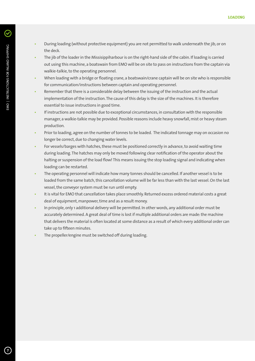- During loading (without protective equipment) you are not permitted to walk underneath the jib, or on the deck.
- The jib of the loader in the Missisippiharbour is on the right-hand side of the cabin. If loading is carried out using this machine, a boatswain from EMO will be on site to pass on instructions from the captain via walkie-talkie, to the operating personnel.
- When loading with a bridge or floating crane, a boatswain/crane captain will be on site who is responsible for communication/instructions between captain and operating personnel.
- Remember that there is a considerable delay between the issuing of the instruction and the actual implementation of the instruction. The cause of this delay is the size of the machines. It is therefore essential to issue instructions in good time.
- If instructions are not possible due to exceptional circumstances, in consultation with the responsible manager, a walkie-talkie may be provided. Possible reasons include heavy snowfall, mist or heavy steam production.
- Prior to loading, agree on the number of tonnes to be loaded. The indicated tonnage may on occasion no longer be correct, due to changing water levels.
- For vessels/barges with hatches, these must be positioned correctly in advance, to avoid waiting time during loading. The hatches may only be moved following clear notification of the operator about the halting or suspension of the load flow! This means issuing the stop loading signal and indicating when loading can be restarted.
- The operating personnel will indicate how many tonnes should be cancelled. If another vessel is to be loaded from the same batch, this cancellation volume will be far less than with the last vessel. On the last vessel, the conveyor system must be run until empty.
- It is vital for EMO that cancellation takes place smoothly. Returned excess ordered material costs a great deal of equipment, manpower, time and as a result money.
- In principle, only 1 additional delivery will be permitted. In other words, any additional order must be accurately determined. A great deal of time is lost if multiple additional orders are made: the machine that delivers the material is often located at some distance as a result of which every additional order can take up to fifteen minutes.
- The propeller/engine must be switched off during loading.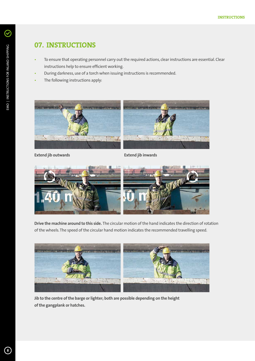$\odot$ 

# **07. INSTRUCTIONS**

- To ensure that operating personnel carry out the required actions, clear instructions are essential. Clear instructions help to ensure efficient working.
- During darkness, use of a torch when issuing instructions is recommended.
- The following instructions apply:



**Extend jib outwards Extend jib inwards** 



**Drive the machine around to this side.** The circular motion of the hand indicates the direction of rotation of the wheels. The speed of the circular hand motion indicates the recommended travelling speed.



**Jib to the centre of the barge or lighter; both are possible depending on the height of the gangplank or hatches.**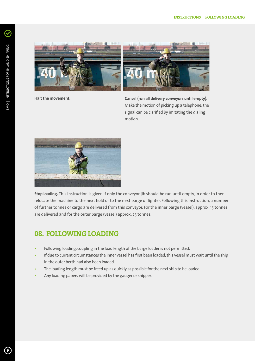$\mathcal Q$ 



**Halt the movement.**



**Cancel (run all delivery conveyors until empty).**  Make the motion of picking up a telephone; the signal can be clarified by imitating the dialing motion.



**Stop loading.** This instruction is given if only the conveyor jib should be run until empty, in order to then relocate the machine to the next hold or to the next barge or lighter. Following this instruction, a number of further tonnes or cargo are delivered from this conveyor. For the inner barge (vessel), approx. 15 tonnes are delivered and for the outer barge (vessel) approx. 25 tonnes.

#### **08. FOLLOWING LOADING**

- Following loading, coupling in the load length of the barge loader is not permitted.
- If due to current circumstances the inner vessel has first been loaded, this vessel must wait until the ship in the outer berth had also been loaded.
- The loading length must be freed up as quickly as possible for the next ship to be loaded.
- Any loading papers will be provided by the gauger or shipper.